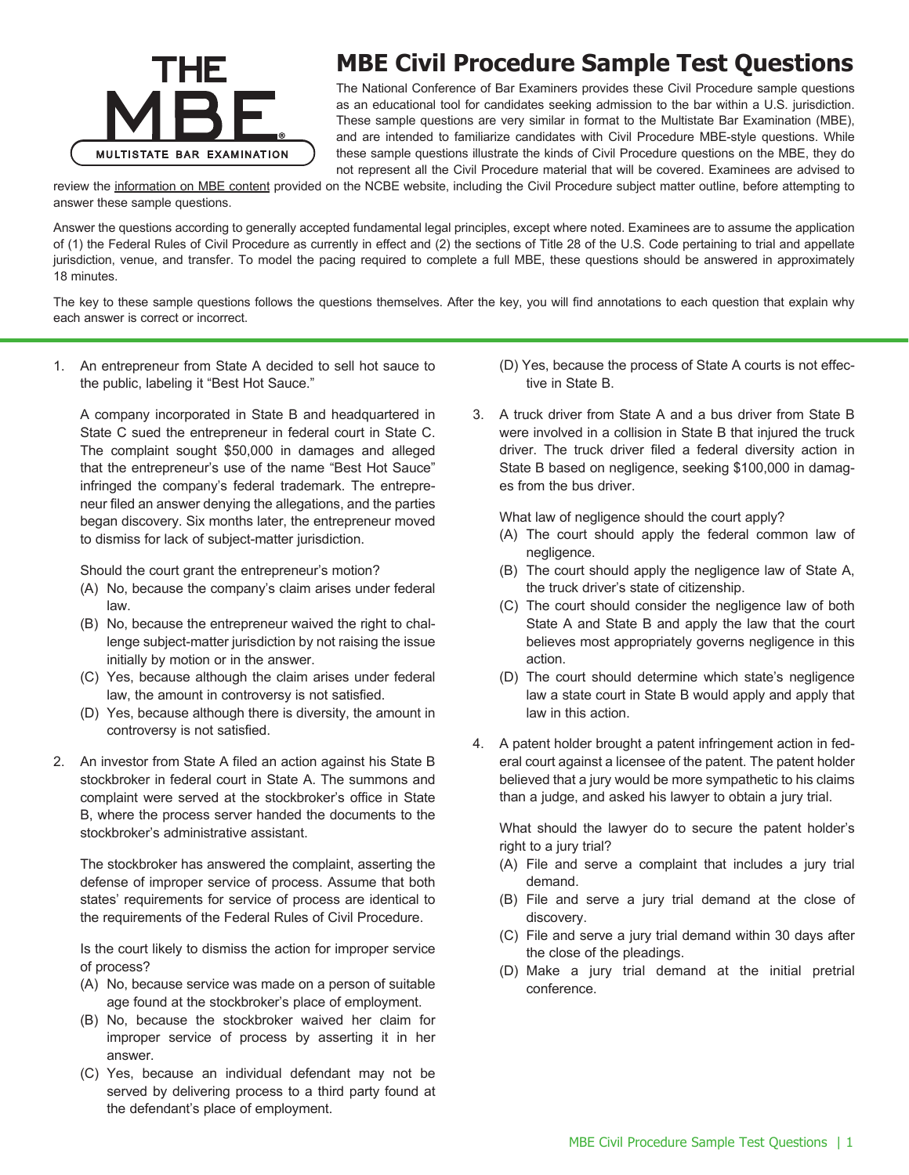

## **MBE Civil Procedure Sample Test Questions**

The National Conference of Bar Examiners provides these Civil Procedure sample questions as an educational tool for candidates seeking admission to the bar within a U.S. jurisdiction. These sample questions are very similar in format to the Multistate Bar Examination (MBE), and are intended to familiarize candidates with Civil Procedure MBE-style questions. While these sample questions illustrate the kinds of Civil Procedure questions on the MBE, they do not represent all the Civil Procedure material that will be covered. Examinees are advised to

review the information on MBE content provided on the NCBE website, including the Civil Procedure subject matter outline, before attempting to answer these sample questions.

Answer the questions according to generally accepted fundamental legal principles, except where noted. Examinees are to assume the application of (1) the Federal Rules of Civil Procedure as currently in effect and (2) the sections of Title 28 of the U.S. Code pertaining to trial and appellate jurisdiction, venue, and transfer. To model the pacing required to complete a full MBE, these questions should be answered in approximately 18 minutes.

The key to these sample questions follows the questions themselves. After the key, you will find annotations to each question that explain why each answer is correct or incorrect.

1. An entrepreneur from State A decided to sell hot sauce to the public, labeling it "Best Hot Sauce."

A company incorporated in State B and headquartered in State C sued the entrepreneur in federal court in State C. The complaint sought \$50,000 in damages and alleged that the entrepreneur's use of the name "Best Hot Sauce" infringed the company's federal trademark. The entrepreneur filed an answer denying the allegations, and the parties began discovery. Six months later, the entrepreneur moved to dismiss for lack of subject-matter jurisdiction.

Should the court grant the entrepreneur's motion?

- (A) No, because the company's claim arises under federal law.
- (B) No, because the entrepreneur waived the right to challenge subject-matter jurisdiction by not raising the issue initially by motion or in the answer.
- (C) Yes, because although the claim arises under federal law, the amount in controversy is not satisfied.
- (D) Yes, because although there is diversity, the amount in controversy is not satisfied.
- 2. An investor from State A filed an action against his State B stockbroker in federal court in State A. The summons and complaint were served at the stockbroker's office in State B, where the process server handed the documents to the stockbroker's administrative assistant.

The stockbroker has answered the complaint, asserting the defense of improper service of process. Assume that both states' requirements for service of process are identical to the requirements of the Federal Rules of Civil Procedure.

Is the court likely to dismiss the action for improper service of process?

- (A) No, because service was made on a person of suitable age found at the stockbroker's place of employment.
- (B) No, because the stockbroker waived her claim for improper service of process by asserting it in her answer.
- (C) Yes, because an individual defendant may not be served by delivering process to a third party found at the defendant's place of employment.
- (D) Yes, because the process of State A courts is not effective in State B.
- 3. A truck driver from State A and a bus driver from State B were involved in a collision in State B that injured the truck driver. The truck driver filed a federal diversity action in State B based on negligence, seeking \$100,000 in damages from the bus driver.

What law of negligence should the court apply?

- (A) The court should apply the federal common law of negligence.
- (B) The court should apply the negligence law of State A, the truck driver's state of citizenship.
- (C) The court should consider the negligence law of both State A and State B and apply the law that the court believes most appropriately governs negligence in this action.
- (D) The court should determine which state's negligence law a state court in State B would apply and apply that law in this action.
- 4. A patent holder brought a patent infringement action in federal court against a licensee of the patent. The patent holder believed that a jury would be more sympathetic to his claims than a judge, and asked his lawyer to obtain a jury trial.

What should the lawyer do to secure the patent holder's right to a jury trial?

- (A) File and serve a complaint that includes a jury trial demand.
- (B) File and serve a jury trial demand at the close of discovery.
- (C) File and serve a jury trial demand within 30 days after the close of the pleadings.
- (D) Make a jury trial demand at the initial pretrial conference.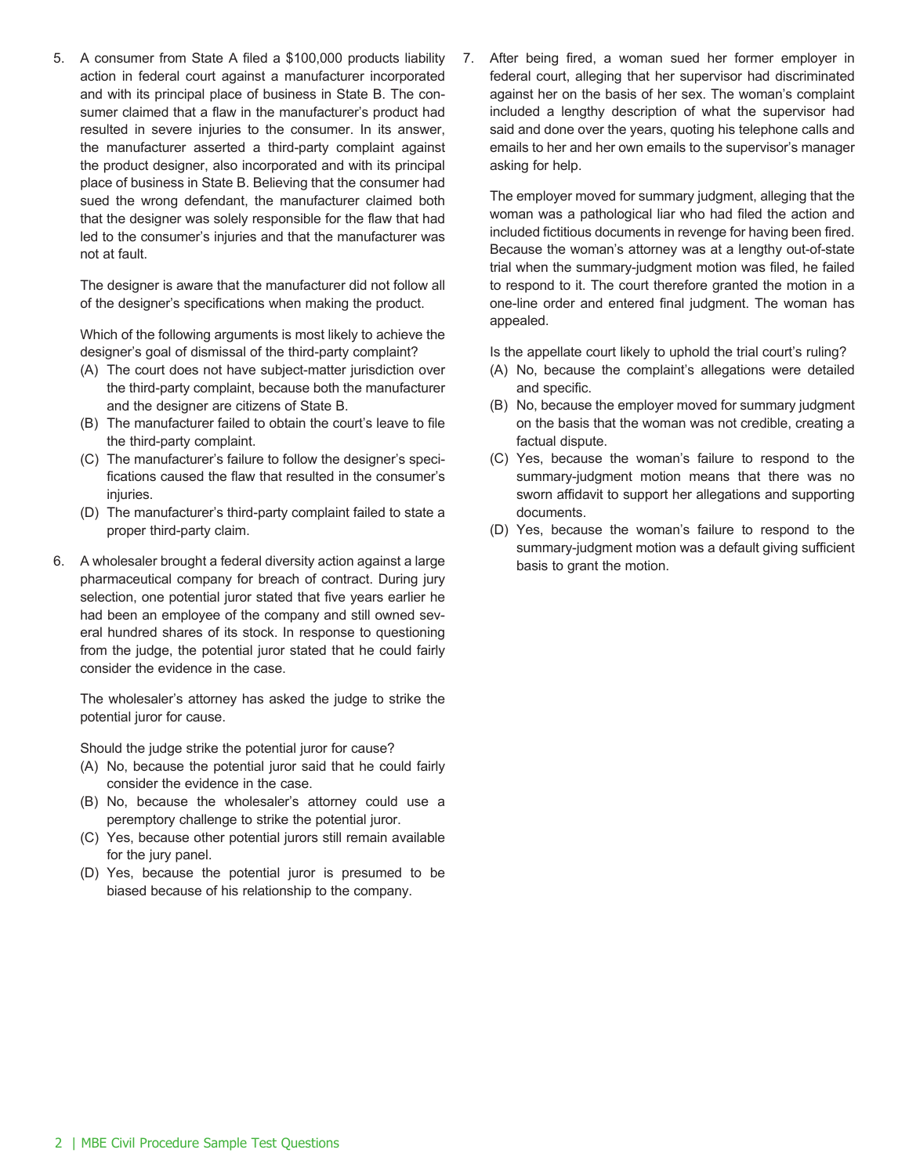5. A consumer from State A filed a \$100,000 products liability action in federal court against a manufacturer incorporated and with its principal place of business in State B. The consumer claimed that a flaw in the manufacturer's product had resulted in severe injuries to the consumer. In its answer, the manufacturer asserted a third-party complaint against the product designer, also incorporated and with its principal place of business in State B. Believing that the consumer had sued the wrong defendant, the manufacturer claimed both that the designer was solely responsible for the flaw that had led to the consumer's injuries and that the manufacturer was not at fault.

The designer is aware that the manufacturer did not follow all of the designer's specifications when making the product.

Which of the following arguments is most likely to achieve the designer's goal of dismissal of the third-party complaint?

- (A) The court does not have subject-matter jurisdiction over the third-party complaint, because both the manufacturer and the designer are citizens of State B.
- (B) The manufacturer failed to obtain the court's leave to file the third-party complaint.
- (C) The manufacturer's failure to follow the designer's specifications caused the flaw that resulted in the consumer's iniuries.
- (D) The manufacturer's third-party complaint failed to state a proper third-party claim.
- 6. A wholesaler brought a federal diversity action against a large pharmaceutical company for breach of contract. During jury selection, one potential juror stated that five years earlier he had been an employee of the company and still owned several hundred shares of its stock. In response to questioning from the judge, the potential juror stated that he could fairly consider the evidence in the case.

The wholesaler's attorney has asked the judge to strike the potential juror for cause.

Should the judge strike the potential juror for cause?

- (A) No, because the potential juror said that he could fairly consider the evidence in the case.
- (B) No, because the wholesaler's attorney could use a peremptory challenge to strike the potential juror.
- (C) Yes, because other potential jurors still remain available for the jury panel.
- (D) Yes, because the potential juror is presumed to be biased because of his relationship to the company.

7. After being fired, a woman sued her former employer in federal court, alleging that her supervisor had discriminated against her on the basis of her sex. The woman's complaint included a lengthy description of what the supervisor had said and done over the years, quoting his telephone calls and emails to her and her own emails to the supervisor's manager asking for help.

The employer moved for summary judgment, alleging that the woman was a pathological liar who had filed the action and included fictitious documents in revenge for having been fired. Because the woman's attorney was at a lengthy out-of-state trial when the summary-judgment motion was filed, he failed to respond to it. The court therefore granted the motion in a one-line order and entered final judgment. The woman has appealed.

Is the appellate court likely to uphold the trial court's ruling?

- (A) No, because the complaint's allegations were detailed and specific.
- (B) No, because the employer moved for summary judgment on the basis that the woman was not credible, creating a factual dispute.
- (C) Yes, because the woman's failure to respond to the summary-judgment motion means that there was no sworn affidavit to support her allegations and supporting documents.
- (D) Yes, because the woman's failure to respond to the summary-judgment motion was a default giving sufficient basis to grant the motion.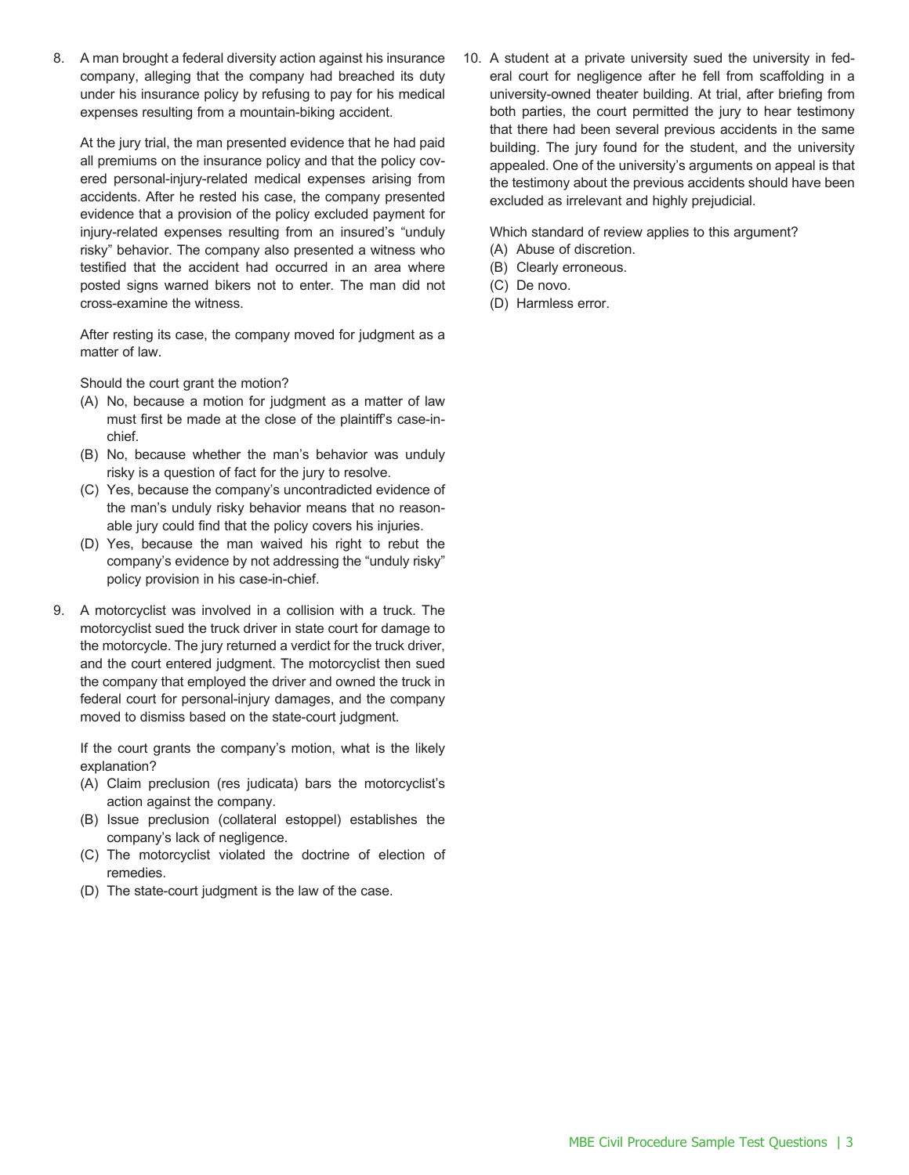8. A man brought a federal diversity action against his insurance company, alleging that the company had breached its duty under his insurance policy by refusing to pay for his medical expenses resulting from a mountain-biking accident.

At the jury trial, the man presented evidence that he had paid all premiums on the insurance policy and that the policy covered personal-injury-related medical expenses arising from accidents. After he rested his case, the company presented evidence that a provision of the policy excluded payment for injury-related expenses resulting from an insured's "unduly risky" behavior. The company also presented a witness who testified that the accident had occurred in an area where posted signs warned bikers not to enter. The man did not cross-examine the witness.

After resting its case, the company moved for judgment as a matter of law.

Should the court grant the motion?

- (A) No, because a motion for judgment as a matter of law must first be made at the close of the plaintiff's case-inchief.
- (B) No, because whether the man's behavior was unduly risky is a question of fact for the jury to resolve.
- (C) Yes, because the company's uncontradicted evidence of the man's unduly risky behavior means that no reasonable jury could find that the policy covers his injuries.
- (D) Yes, because the man waived his right to rebut the company's evidence by not addressing the "unduly risky" policy provision in his case-in-chief.
- 9. A motorcyclist was involved in a collision with a truck. The motorcyclist sued the truck driver in state court for damage to the motorcycle. The jury returned a verdict for the truck driver, and the court entered judgment. The motorcyclist then sued the company that employed the driver and owned the truck in federal court for personal-injury damages, and the company moved to dismiss based on the state-court judgment.

If the court grants the company's motion, what is the likely explanation?

- (A) Claim preclusion (res judicata) bars the motorcyclist's action against the company.
- (B) Issue preclusion (collateral estoppel) establishes the company's lack of negligence.
- (C) The motorcyclist violated the doctrine of election of remedies.
- (D) The state-court judgment is the law of the case.

10. A student at a private university sued the university in federal court for negligence after he fell from scaffolding in a university-owned theater building. At trial, after briefing from both parties, the court permitted the jury to hear testimony that there had been several previous accidents in the same building. The jury found for the student, and the university appealed. One of the university's arguments on appeal is that the testimony about the previous accidents should have been excluded as irrelevant and highly prejudicial.

Which standard of review applies to this argument?

- (A) Abuse of discretion.
- (B) Clearly erroneous.
- (C) De novo.
- (D) Harmless error.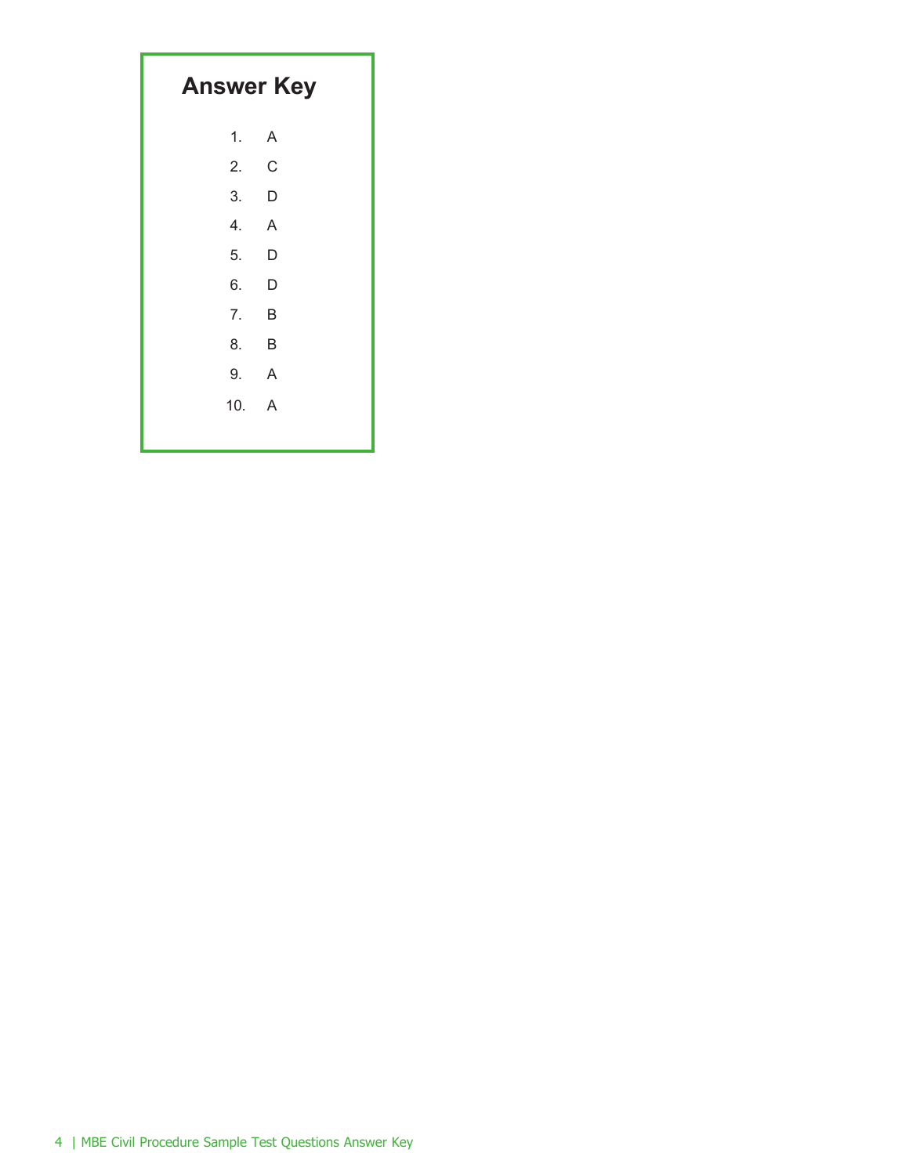| <b>Answer Key</b> |                |
|-------------------|----------------|
|                   | 1. A           |
| 2. C              |                |
| 3.                | $\overline{D}$ |
| 4. A              |                |
| 5.                | $\Box$         |
| 6.                | $\Box$         |
| 7.                | $\overline{B}$ |
| 8.                | B              |
| 9. A              |                |
| 10. A             |                |
|                   |                |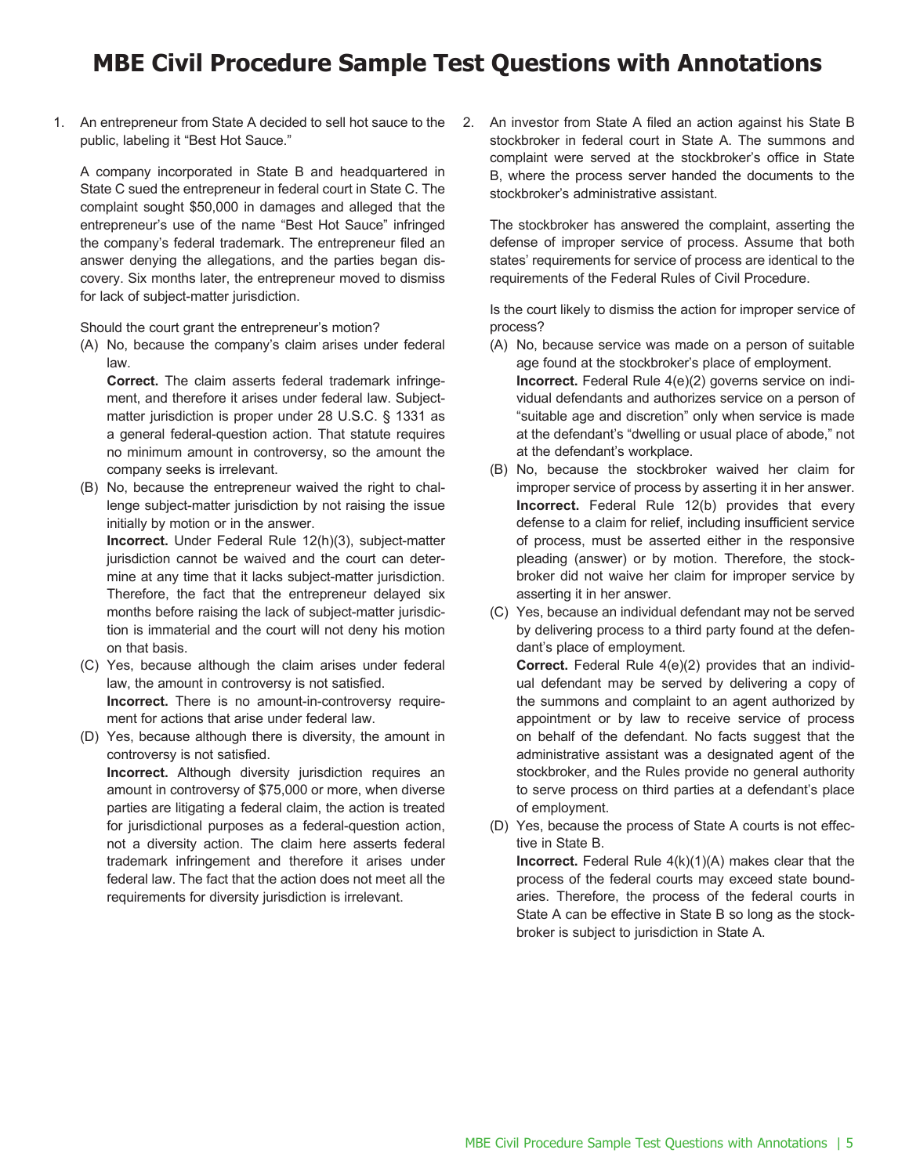## **MBE Civil Procedure Sample Test Questions with Annotations**

1. An entrepreneur from State A decided to sell hot sauce to the public, labeling it "Best Hot Sauce."

A company incorporated in State B and headquartered in State C sued the entrepreneur in federal court in State C. The complaint sought \$50,000 in damages and alleged that the entrepreneur's use of the name "Best Hot Sauce" infringed the company's federal trademark. The entrepreneur filed an answer denying the allegations, and the parties began discovery. Six months later, the entrepreneur moved to dismiss for lack of subject-matter jurisdiction.

Should the court grant the entrepreneur's motion?

(A) No, because the company's claim arises under federal law.

**Correct.** The claim asserts federal trademark infringement, and therefore it arises under federal law. Subjectmatter jurisdiction is proper under 28 U.S.C. § 1331 as a general federal-question action. That statute requires no minimum amount in controversy, so the amount the company seeks is irrelevant.

(B) No, because the entrepreneur waived the right to challenge subject-matter jurisdiction by not raising the issue initially by motion or in the answer. **Incorrect.** Under Federal Rule 12(h)(3), subject-matter jurisdiction cannot be waived and the court can determine at any time that it lacks subject-matter jurisdiction. Therefore, the fact that the entrepreneur delayed six months before raising the lack of subject-matter jurisdiction is immaterial and the court will not deny his motion on that basis.

- (C) Yes, because although the claim arises under federal law, the amount in controversy is not satisfied. **Incorrect.** There is no amount-in-controversy requirement for actions that arise under federal law.
- (D) Yes, because although there is diversity, the amount in controversy is not satisfied. **Incorrect.** Although diversity jurisdiction requires an amount in controversy of \$75,000 or more, when diverse parties are litigating a federal claim, the action is treated for jurisdictional purposes as a federal-question action, not a diversity action. The claim here asserts federal trademark infringement and therefore it arises under federal law. The fact that the action does not meet all the requirements for diversity jurisdiction is irrelevant.

2. An investor from State A filed an action against his State B stockbroker in federal court in State A. The summons and complaint were served at the stockbroker's office in State B, where the process server handed the documents to the stockbroker's administrative assistant.

The stockbroker has answered the complaint, asserting the defense of improper service of process. Assume that both states' requirements for service of process are identical to the requirements of the Federal Rules of Civil Procedure.

Is the court likely to dismiss the action for improper service of process?

- (A) No, because service was made on a person of suitable age found at the stockbroker's place of employment. **Incorrect.** Federal Rule 4(e)(2) governs service on individual defendants and authorizes service on a person of "suitable age and discretion" only when service is made at the defendant's "dwelling or usual place of abode," not at the defendant's workplace.
- (B) No, because the stockbroker waived her claim for improper service of process by asserting it in her answer. **Incorrect.** Federal Rule 12(b) provides that every defense to a claim for relief, including insufficient service of process, must be asserted either in the responsive pleading (answer) or by motion. Therefore, the stockbroker did not waive her claim for improper service by asserting it in her answer.
- (C) Yes, because an individual defendant may not be served by delivering process to a third party found at the defendant's place of employment.

**Correct.** Federal Rule 4(e)(2) provides that an individual defendant may be served by delivering a copy of the summons and complaint to an agent authorized by appointment or by law to receive service of process on behalf of the defendant. No facts suggest that the administrative assistant was a designated agent of the stockbroker, and the Rules provide no general authority to serve process on third parties at a defendant's place of employment.

(D) Yes, because the process of State A courts is not effective in State B.

**Incorrect.** Federal Rule  $4(k)(1)(A)$  makes clear that the process of the federal courts may exceed state boundaries. Therefore, the process of the federal courts in State A can be effective in State B so long as the stockbroker is subject to jurisdiction in State A.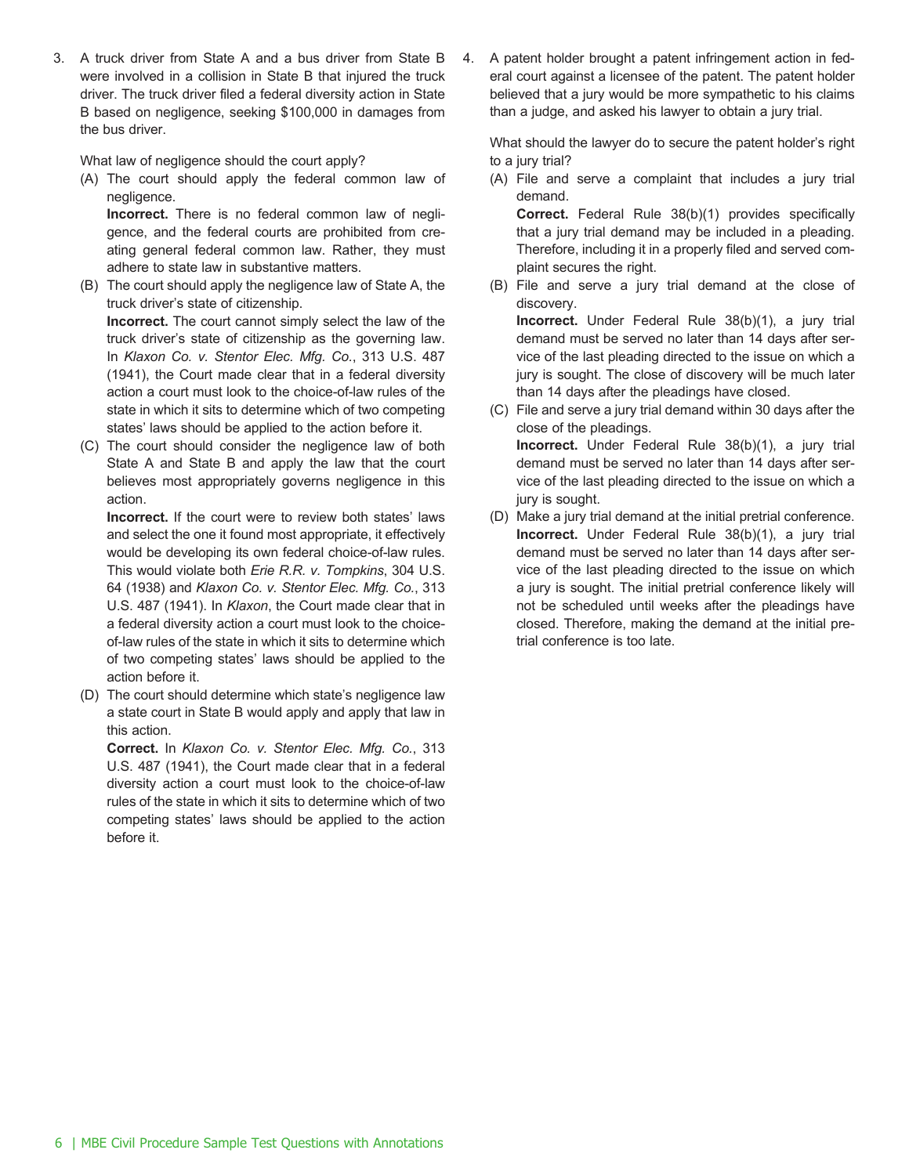3. A truck driver from State A and a bus driver from State B were involved in a collision in State B that injured the truck driver. The truck driver filed a federal diversity action in State B based on negligence, seeking \$100,000 in damages from the bus driver.

What law of negligence should the court apply?

(A) The court should apply the federal common law of negligence.

**Incorrect.** There is no federal common law of negligence, and the federal courts are prohibited from creating general federal common law. Rather, they must adhere to state law in substantive matters.

- (B) The court should apply the negligence law of State A, the truck driver's state of citizenship. **Incorrect.** The court cannot simply select the law of the truck driver's state of citizenship as the governing law. In *Klaxon Co. v. Stentor Elec. Mfg. Co.*, 313 U.S. 487 (1941), the Court made clear that in a federal diversity action a court must look to the choice-of-law rules of the state in which it sits to determine which of two competing states' laws should be applied to the action before it.
- (C) The court should consider the negligence law of both State A and State B and apply the law that the court believes most appropriately governs negligence in this action.

**Incorrect.** If the court were to review both states' laws and select the one it found most appropriate, it effectively would be developing its own federal choice-of-law rules. This would violate both *Erie R.R. v. Tompkins*, 304 U.S. 64 (1938) and *Klaxon Co. v. Stentor Elec. Mfg. Co.*, 313 U.S. 487 (1941). In *Klaxon*, the Court made clear that in a federal diversity action a court must look to the choiceof-law rules of the state in which it sits to determine which of two competing states' laws should be applied to the action before it.

(D) The court should determine which state's negligence law a state court in State B would apply and apply that law in this action.

**Correct.** In *Klaxon Co. v. Stentor Elec. Mfg. Co.*, 313 U.S. 487 (1941), the Court made clear that in a federal diversity action a court must look to the choice-of-law rules of the state in which it sits to determine which of two competing states' laws should be applied to the action before it.

4. A patent holder brought a patent infringement action in federal court against a licensee of the patent. The patent holder believed that a jury would be more sympathetic to his claims than a judge, and asked his lawyer to obtain a jury trial.

What should the lawyer do to secure the patent holder's right to a jury trial?

(A) File and serve a complaint that includes a jury trial demand.

**Correct.** Federal Rule 38(b)(1) provides specifically that a jury trial demand may be included in a pleading. Therefore, including it in a properly filed and served complaint secures the right.

(B) File and serve a jury trial demand at the close of discovery.

**Incorrect.** Under Federal Rule 38(b)(1), a jury trial demand must be served no later than 14 days after service of the last pleading directed to the issue on which a jury is sought. The close of discovery will be much later than 14 days after the pleadings have closed.

- (C) File and serve a jury trial demand within 30 days after the close of the pleadings. **Incorrect.** Under Federal Rule 38(b)(1), a jury trial demand must be served no later than 14 days after service of the last pleading directed to the issue on which a jury is sought.
- (D) Make a jury trial demand at the initial pretrial conference. **Incorrect.** Under Federal Rule 38(b)(1), a jury trial demand must be served no later than 14 days after service of the last pleading directed to the issue on which a jury is sought. The initial pretrial conference likely will not be scheduled until weeks after the pleadings have closed. Therefore, making the demand at the initial pretrial conference is too late.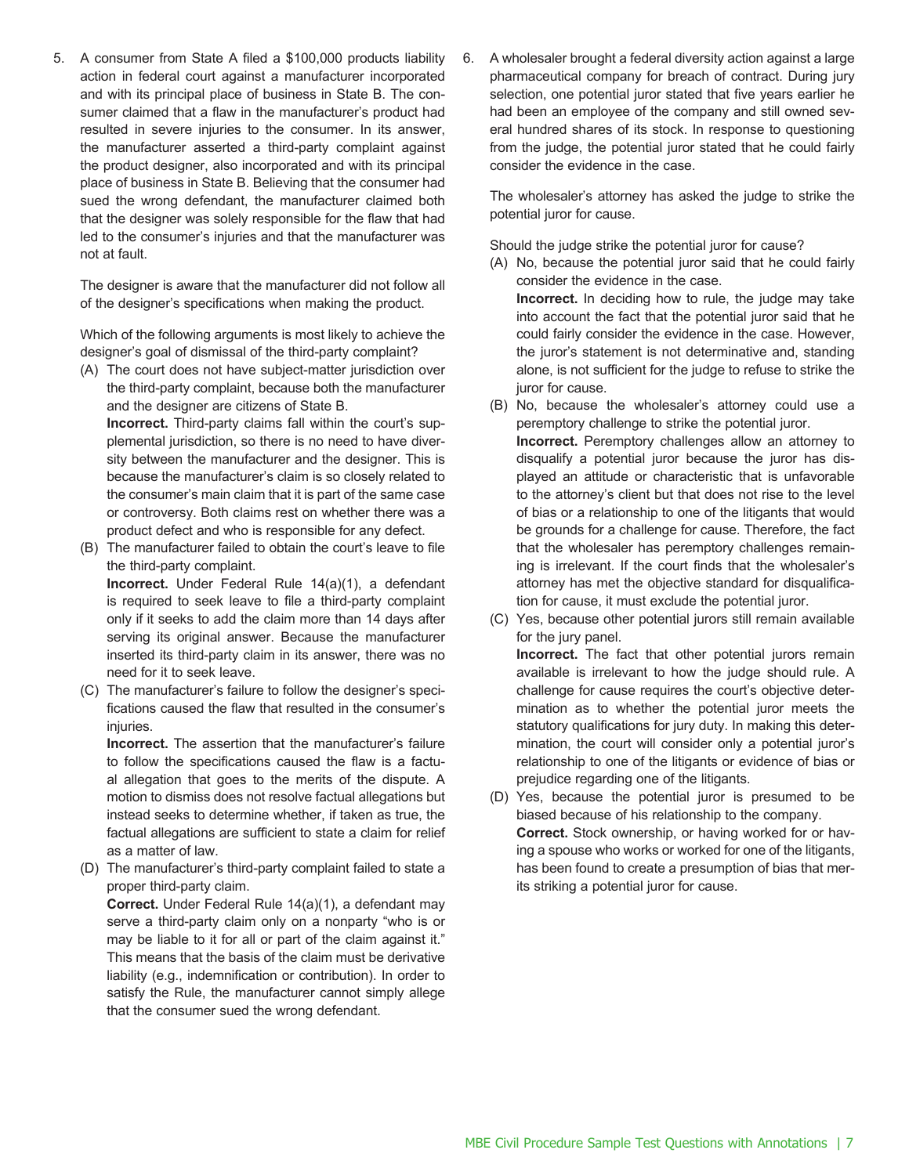5. A consumer from State A filed a \$100,000 products liability action in federal court against a manufacturer incorporated and with its principal place of business in State B. The consumer claimed that a flaw in the manufacturer's product had resulted in severe injuries to the consumer. In its answer, the manufacturer asserted a third-party complaint against the product designer, also incorporated and with its principal place of business in State B. Believing that the consumer had sued the wrong defendant, the manufacturer claimed both that the designer was solely responsible for the flaw that had led to the consumer's injuries and that the manufacturer was not at fault.

The designer is aware that the manufacturer did not follow all of the designer's specifications when making the product.

Which of the following arguments is most likely to achieve the designer's goal of dismissal of the third-party complaint?

(A) The court does not have subject-matter jurisdiction over the third-party complaint, because both the manufacturer and the designer are citizens of State B.

**Incorrect.** Third-party claims fall within the court's supplemental jurisdiction, so there is no need to have diversity between the manufacturer and the designer. This is because the manufacturer's claim is so closely related to the consumer's main claim that it is part of the same case or controversy. Both claims rest on whether there was a product defect and who is responsible for any defect.

(B) The manufacturer failed to obtain the court's leave to file the third-party complaint.

**Incorrect.** Under Federal Rule 14(a)(1), a defendant is required to seek leave to file a third-party complaint only if it seeks to add the claim more than 14 days after serving its original answer. Because the manufacturer inserted its third-party claim in its answer, there was no need for it to seek leave.

(C) The manufacturer's failure to follow the designer's specifications caused the flaw that resulted in the consumer's injuries.

**Incorrect.** The assertion that the manufacturer's failure to follow the specifications caused the flaw is a factual allegation that goes to the merits of the dispute. A motion to dismiss does not resolve factual allegations but instead seeks to determine whether, if taken as true, the factual allegations are sufficient to state a claim for relief as a matter of law.

(D) The manufacturer's third-party complaint failed to state a proper third-party claim.

**Correct.** Under Federal Rule 14(a)(1), a defendant may serve a third-party claim only on a nonparty "who is or may be liable to it for all or part of the claim against it." This means that the basis of the claim must be derivative liability (e.g., indemnification or contribution). In order to satisfy the Rule, the manufacturer cannot simply allege that the consumer sued the wrong defendant.

6. A wholesaler brought a federal diversity action against a large pharmaceutical company for breach of contract. During jury selection, one potential juror stated that five years earlier he had been an employee of the company and still owned several hundred shares of its stock. In response to questioning from the judge, the potential juror stated that he could fairly consider the evidence in the case.

The wholesaler's attorney has asked the judge to strike the potential juror for cause.

Should the judge strike the potential juror for cause?

(A) No, because the potential juror said that he could fairly consider the evidence in the case. **Incorrect.** In deciding how to rule, the judge may take into account the fact that the potential juror said that he

could fairly consider the evidence in the case. However, the juror's statement is not determinative and, standing alone, is not sufficient for the judge to refuse to strike the juror for cause.

(B) No, because the wholesaler's attorney could use a peremptory challenge to strike the potential juror. **Incorrect.** Peremptory challenges allow an attorney to disqualify a potential juror because the juror has displayed an attitude or characteristic that is unfavorable to the attorney's client but that does not rise to the level of bias or a relationship to one of the litigants that would be grounds for a challenge for cause. Therefore, the fact that the wholesaler has peremptory challenges remaining is irrelevant. If the court finds that the wholesaler's attorney has met the objective standard for disqualification for cause, it must exclude the potential juror.

(C) Yes, because other potential jurors still remain available for the jury panel.

**Incorrect.** The fact that other potential jurors remain available is irrelevant to how the judge should rule. A challenge for cause requires the court's objective determination as to whether the potential juror meets the statutory qualifications for jury duty. In making this determination, the court will consider only a potential juror's relationship to one of the litigants or evidence of bias or prejudice regarding one of the litigants.

(D) Yes, because the potential juror is presumed to be biased because of his relationship to the company. **Correct.** Stock ownership, or having worked for or having a spouse who works or worked for one of the litigants, has been found to create a presumption of bias that merits striking a potential juror for cause.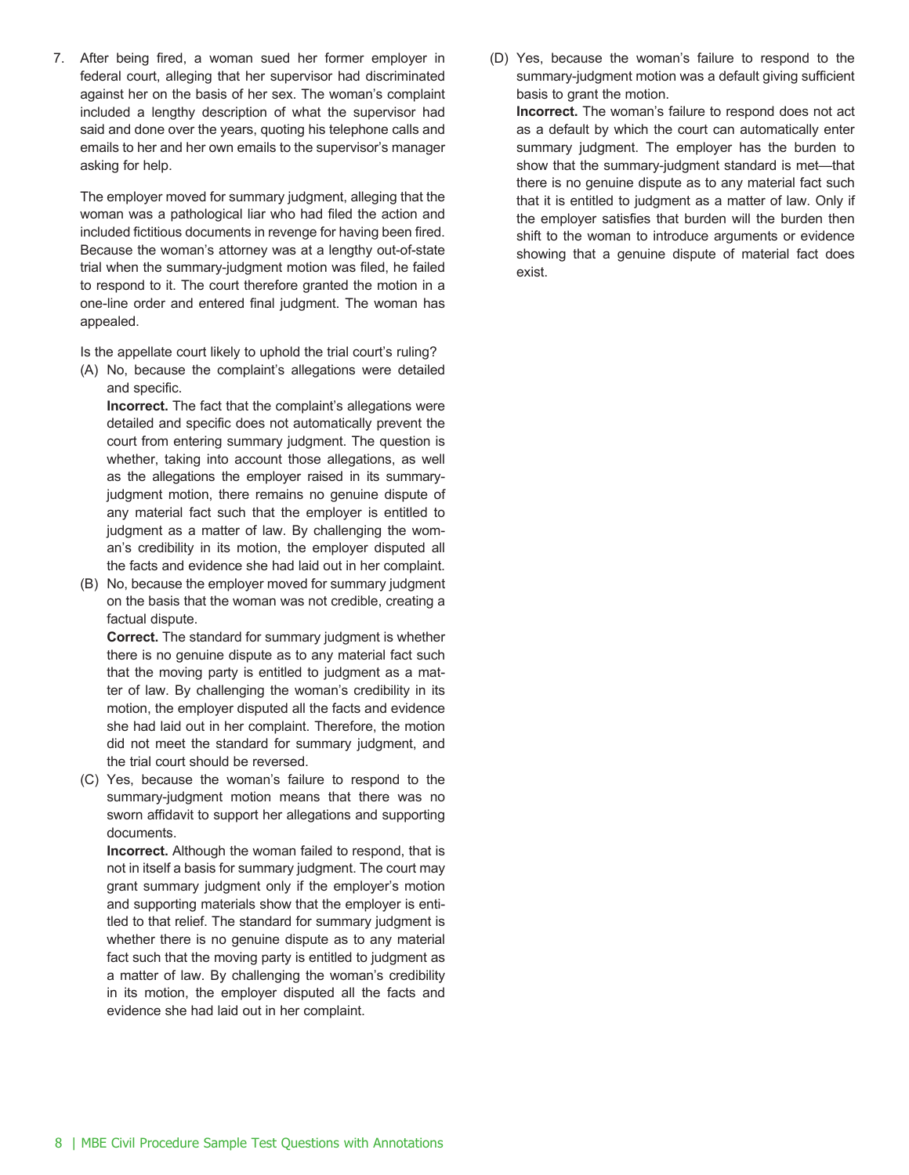7. After being fired, a woman sued her former employer in federal court, alleging that her supervisor had discriminated against her on the basis of her sex. The woman's complaint included a lengthy description of what the supervisor had said and done over the years, quoting his telephone calls and emails to her and her own emails to the supervisor's manager asking for help.

The employer moved for summary judgment, alleging that the woman was a pathological liar who had filed the action and included fictitious documents in revenge for having been fired. Because the woman's attorney was at a lengthy out-of-state trial when the summary-judgment motion was filed, he failed to respond to it. The court therefore granted the motion in a one-line order and entered final judgment. The woman has appealed.

Is the appellate court likely to uphold the trial court's ruling?

(A) No, because the complaint's allegations were detailed and specific.

**Incorrect.** The fact that the complaint's allegations were detailed and specific does not automatically prevent the court from entering summary judgment. The question is whether, taking into account those allegations, as well as the allegations the employer raised in its summaryjudgment motion, there remains no genuine dispute of any material fact such that the employer is entitled to judgment as a matter of law. By challenging the woman's credibility in its motion, the employer disputed all the facts and evidence she had laid out in her complaint.

(B) No, because the employer moved for summary judgment on the basis that the woman was not credible, creating a factual dispute.

**Correct.** The standard for summary judgment is whether there is no genuine dispute as to any material fact such that the moving party is entitled to judgment as a matter of law. By challenging the woman's credibility in its motion, the employer disputed all the facts and evidence she had laid out in her complaint. Therefore, the motion did not meet the standard for summary judgment, and the trial court should be reversed.

(C) Yes, because the woman's failure to respond to the summary-judgment motion means that there was no sworn affidavit to support her allegations and supporting documents.

**Incorrect.** Although the woman failed to respond, that is not in itself a basis for summary judgment. The court may grant summary judgment only if the employer's motion and supporting materials show that the employer is entitled to that relief. The standard for summary judgment is whether there is no genuine dispute as to any material fact such that the moving party is entitled to judgment as a matter of law. By challenging the woman's credibility in its motion, the employer disputed all the facts and evidence she had laid out in her complaint.

(D) Yes, because the woman's failure to respond to the summary-judgment motion was a default giving sufficient basis to grant the motion.

**Incorrect.** The woman's failure to respond does not act as a default by which the court can automatically enter summary judgment. The employer has the burden to show that the summary-judgment standard is met—that there is no genuine dispute as to any material fact such that it is entitled to judgment as a matter of law. Only if the employer satisfies that burden will the burden then shift to the woman to introduce arguments or evidence showing that a genuine dispute of material fact does exist.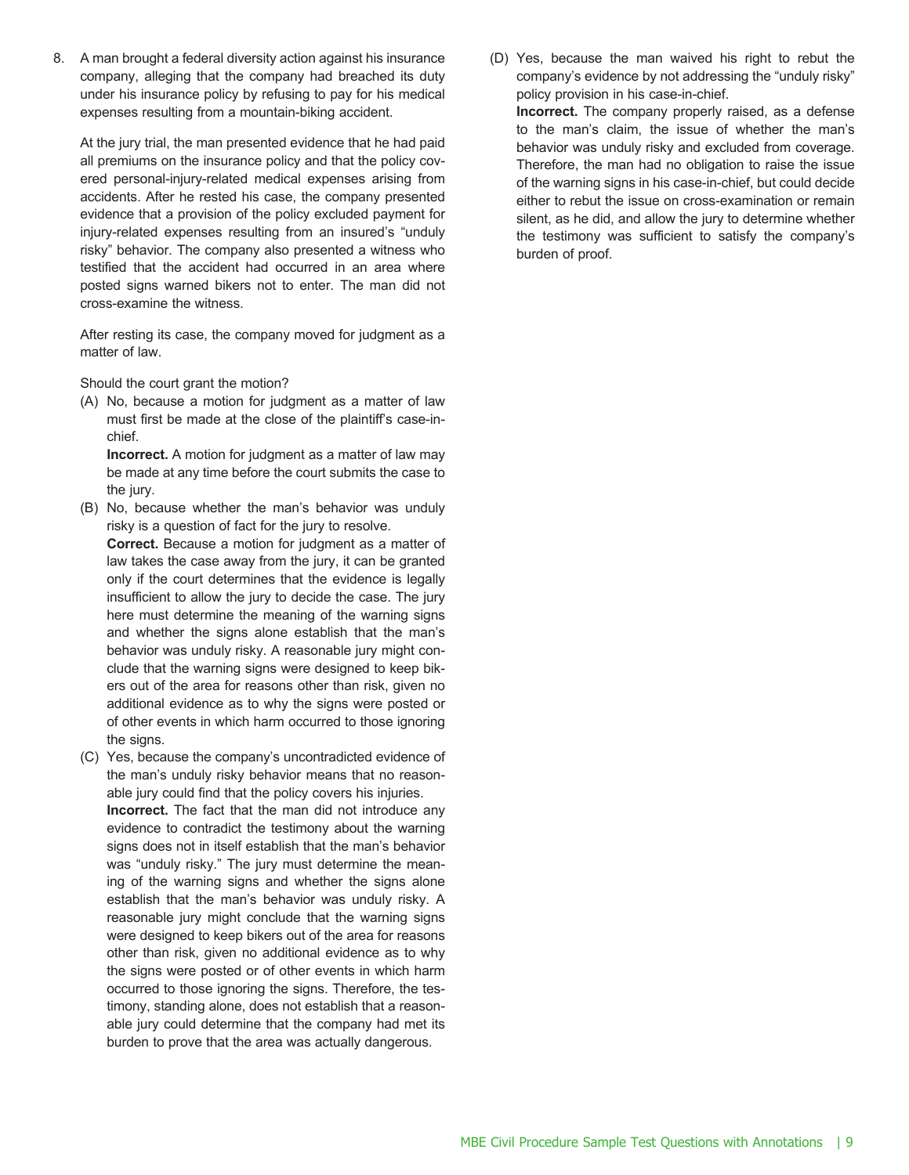8. A man brought a federal diversity action against his insurance company, alleging that the company had breached its duty under his insurance policy by refusing to pay for his medical expenses resulting from a mountain-biking accident.

At the jury trial, the man presented evidence that he had paid all premiums on the insurance policy and that the policy covered personal-injury-related medical expenses arising from accidents. After he rested his case, the company presented evidence that a provision of the policy excluded payment for injury-related expenses resulting from an insured's "unduly risky" behavior. The company also presented a witness who testified that the accident had occurred in an area where posted signs warned bikers not to enter. The man did not cross-examine the witness.

After resting its case, the company moved for judgment as a matter of law.

Should the court grant the motion?

(A) No, because a motion for judgment as a matter of law must first be made at the close of the plaintiff's case-inchief.

**Incorrect.** A motion for judgment as a matter of law may be made at any time before the court submits the case to the jury.

(B) No, because whether the man's behavior was unduly risky is a question of fact for the jury to resolve.

**Correct.** Because a motion for judgment as a matter of law takes the case away from the jury, it can be granted only if the court determines that the evidence is legally insufficient to allow the jury to decide the case. The jury here must determine the meaning of the warning signs and whether the signs alone establish that the man's behavior was unduly risky. A reasonable jury might conclude that the warning signs were designed to keep bikers out of the area for reasons other than risk, given no additional evidence as to why the signs were posted or of other events in which harm occurred to those ignoring the signs.

(C) Yes, because the company's uncontradicted evidence of the man's unduly risky behavior means that no reasonable jury could find that the policy covers his injuries. **Incorrect.** The fact that the man did not introduce any evidence to contradict the testimony about the warning signs does not in itself establish that the man's behavior was "unduly risky." The jury must determine the meaning of the warning signs and whether the signs alone establish that the man's behavior was unduly risky. A reasonable jury might conclude that the warning signs were designed to keep bikers out of the area for reasons other than risk, given no additional evidence as to why the signs were posted or of other events in which harm occurred to those ignoring the signs. Therefore, the testimony, standing alone, does not establish that a reasonable jury could determine that the company had met its burden to prove that the area was actually dangerous.

(D) Yes, because the man waived his right to rebut the company's evidence by not addressing the "unduly risky" policy provision in his case-in-chief.

**Incorrect.** The company properly raised, as a defense to the man's claim, the issue of whether the man's behavior was unduly risky and excluded from coverage. Therefore, the man had no obligation to raise the issue of the warning signs in his case-in-chief, but could decide either to rebut the issue on cross-examination or remain silent, as he did, and allow the jury to determine whether the testimony was sufficient to satisfy the company's burden of proof.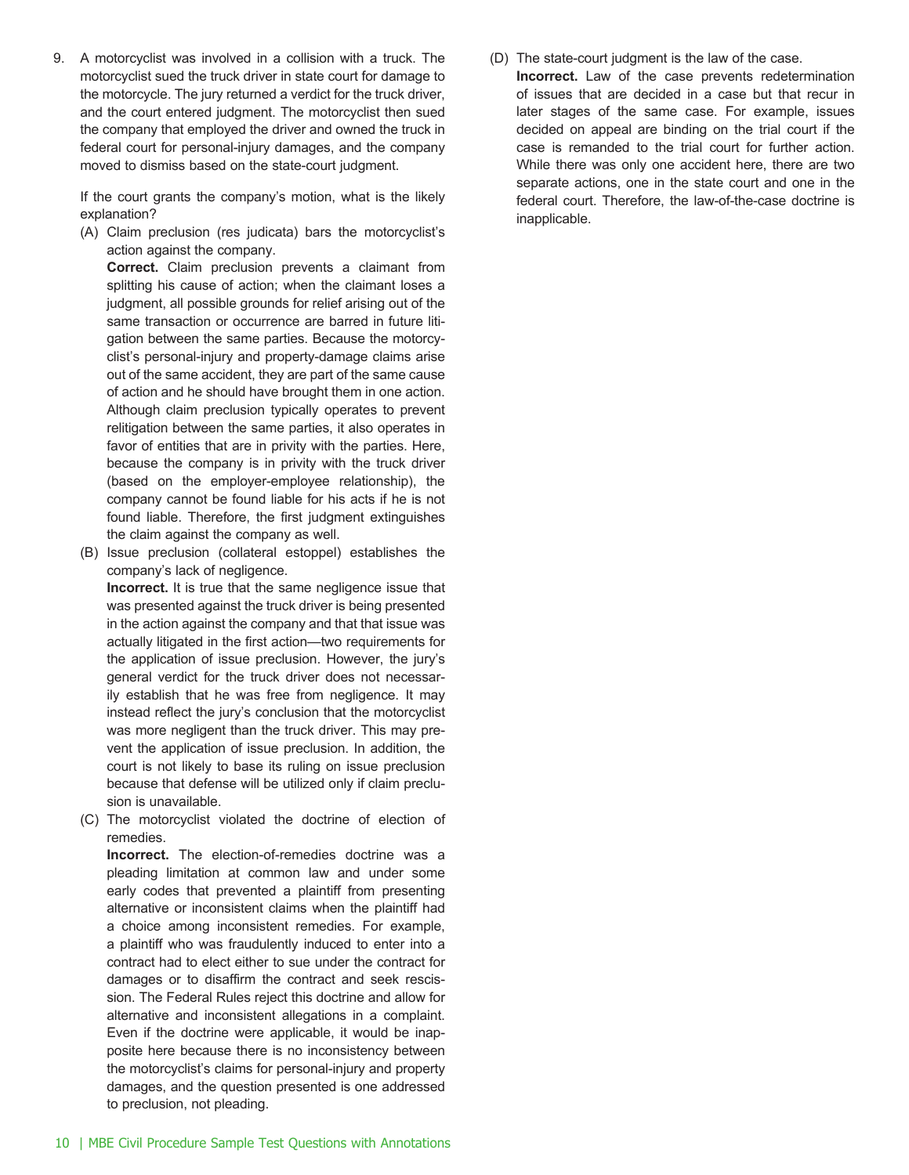9. A motorcyclist was involved in a collision with a truck. The motorcyclist sued the truck driver in state court for damage to the motorcycle. The jury returned a verdict for the truck driver, and the court entered judgment. The motorcyclist then sued the company that employed the driver and owned the truck in federal court for personal-injury damages, and the company moved to dismiss based on the state-court judgment.

If the court grants the company's motion, what is the likely explanation?

(A) Claim preclusion (res judicata) bars the motorcyclist's action against the company.

**Correct.** Claim preclusion prevents a claimant from splitting his cause of action; when the claimant loses a judgment, all possible grounds for relief arising out of the same transaction or occurrence are barred in future litigation between the same parties. Because the motorcyclist's personal-injury and property-damage claims arise out of the same accident, they are part of the same cause of action and he should have brought them in one action. Although claim preclusion typically operates to prevent relitigation between the same parties, it also operates in favor of entities that are in privity with the parties. Here, because the company is in privity with the truck driver (based on the employer-employee relationship), the company cannot be found liable for his acts if he is not found liable. Therefore, the first judgment extinguishes the claim against the company as well.

(B) Issue preclusion (collateral estoppel) establishes the company's lack of negligence.

**Incorrect.** It is true that the same negligence issue that was presented against the truck driver is being presented in the action against the company and that that issue was actually litigated in the first action—two requirements for the application of issue preclusion. However, the jury's general verdict for the truck driver does not necessarily establish that he was free from negligence. It may instead reflect the jury's conclusion that the motorcyclist was more negligent than the truck driver. This may prevent the application of issue preclusion. In addition, the court is not likely to base its ruling on issue preclusion because that defense will be utilized only if claim preclusion is unavailable.

(C) The motorcyclist violated the doctrine of election of remedies.

**Incorrect.** The election-of-remedies doctrine was a pleading limitation at common law and under some early codes that prevented a plaintiff from presenting alternative or inconsistent claims when the plaintiff had a choice among inconsistent remedies. For example, a plaintiff who was fraudulently induced to enter into a contract had to elect either to sue under the contract for damages or to disaffirm the contract and seek rescission. The Federal Rules reject this doctrine and allow for alternative and inconsistent allegations in a complaint. Even if the doctrine were applicable, it would be inapposite here because there is no inconsistency between the motorcyclist's claims for personal-injury and property damages, and the question presented is one addressed to preclusion, not pleading.

(D) The state-court judgment is the law of the case. **Incorrect.** Law of the case prevents redetermination of issues that are decided in a case but that recur in later stages of the same case. For example, issues decided on appeal are binding on the trial court if the case is remanded to the trial court for further action. While there was only one accident here, there are two separate actions, one in the state court and one in the federal court. Therefore, the law-of-the-case doctrine is inapplicable.